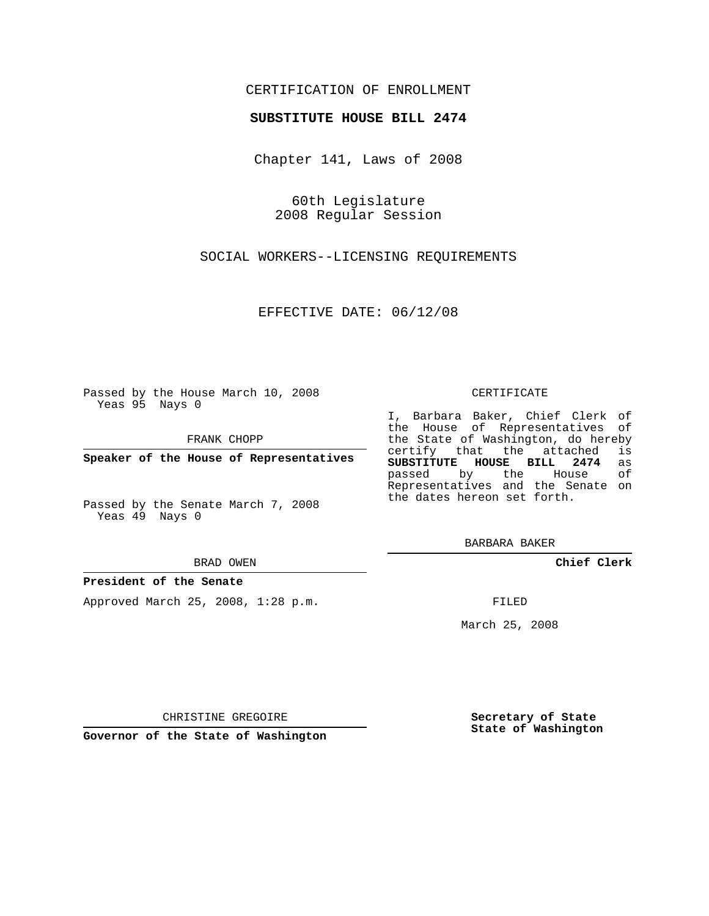# CERTIFICATION OF ENROLLMENT

## **SUBSTITUTE HOUSE BILL 2474**

Chapter 141, Laws of 2008

60th Legislature 2008 Regular Session

SOCIAL WORKERS--LICENSING REQUIREMENTS

EFFECTIVE DATE: 06/12/08

Passed by the House March 10, 2008 Yeas 95 Nays 0

FRANK CHOPP

**Speaker of the House of Representatives**

Passed by the Senate March 7, 2008 Yeas 49 Nays 0

#### BRAD OWEN

## **President of the Senate**

Approved March 25, 2008, 1:28 p.m.

#### CERTIFICATE

I, Barbara Baker, Chief Clerk of the House of Representatives of the State of Washington, do hereby<br>certify that the attached is certify that the attached is<br>SUBSTITUTE HOUSE BILL 2474 as **SUBSTITUTE HOUSE BILL 2474** as passed by the House Representatives and the Senate on the dates hereon set forth.

BARBARA BAKER

**Chief Clerk**

FILED

March 25, 2008

**Secretary of State State of Washington**

CHRISTINE GREGOIRE

**Governor of the State of Washington**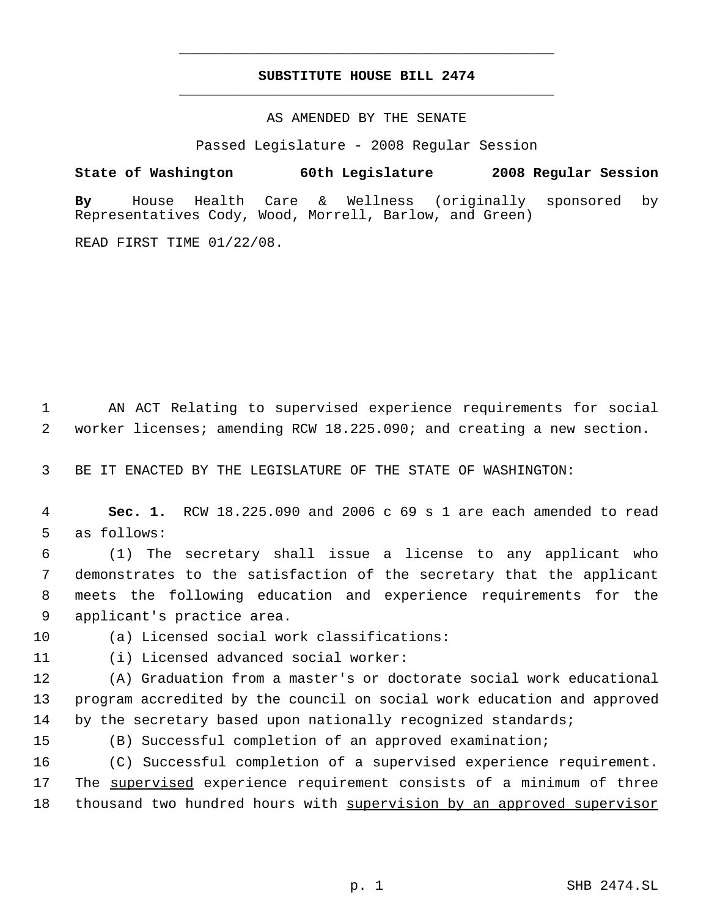# **SUBSTITUTE HOUSE BILL 2474** \_\_\_\_\_\_\_\_\_\_\_\_\_\_\_\_\_\_\_\_\_\_\_\_\_\_\_\_\_\_\_\_\_\_\_\_\_\_\_\_\_\_\_\_\_

\_\_\_\_\_\_\_\_\_\_\_\_\_\_\_\_\_\_\_\_\_\_\_\_\_\_\_\_\_\_\_\_\_\_\_\_\_\_\_\_\_\_\_\_\_

## AS AMENDED BY THE SENATE

Passed Legislature - 2008 Regular Session

**State of Washington 60th Legislature 2008 Regular Session By** House Health Care & Wellness (originally sponsored by Representatives Cody, Wood, Morrell, Barlow, and Green)

READ FIRST TIME 01/22/08.

 AN ACT Relating to supervised experience requirements for social worker licenses; amending RCW 18.225.090; and creating a new section.

BE IT ENACTED BY THE LEGISLATURE OF THE STATE OF WASHINGTON:

 **Sec. 1.** RCW 18.225.090 and 2006 c 69 s 1 are each amended to read as follows:

 (1) The secretary shall issue a license to any applicant who demonstrates to the satisfaction of the secretary that the applicant meets the following education and experience requirements for the applicant's practice area.

(a) Licensed social work classifications:

(i) Licensed advanced social worker:

 (A) Graduation from a master's or doctorate social work educational program accredited by the council on social work education and approved 14 by the secretary based upon nationally recognized standards;

(B) Successful completion of an approved examination;

 (C) Successful completion of a supervised experience requirement. The supervised experience requirement consists of a minimum of three thousand two hundred hours with supervision by an approved supervisor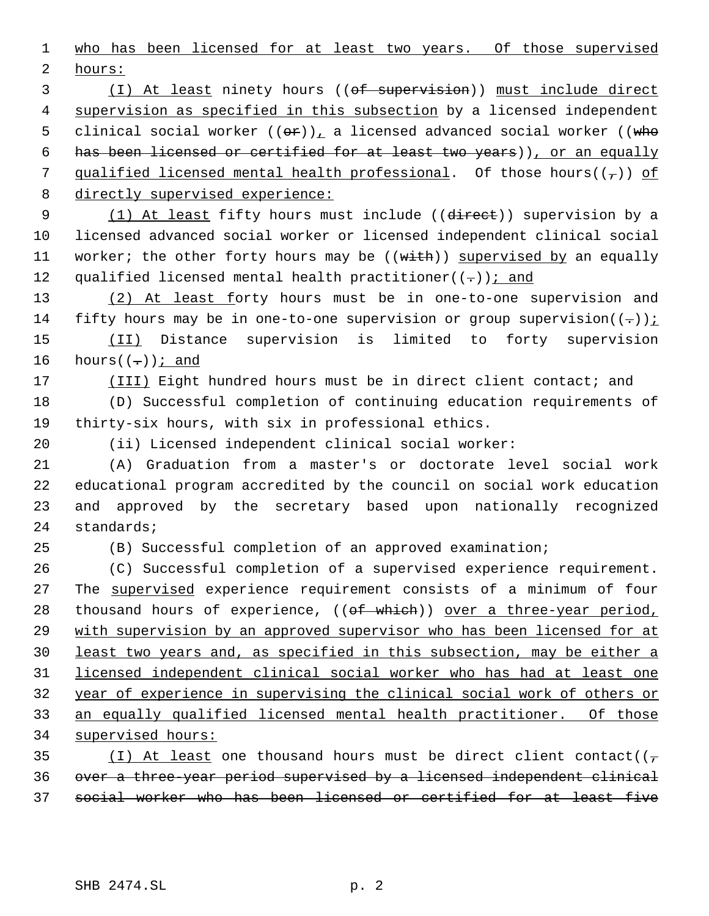who has been licensed for at least two years. Of those supervised hours:

3 (I) At least ninety hours ((of supervision)) must include direct 4 supervision as specified in this subsection by a licensed independent 5 clinical social worker  $((\theta \cdot r))_t$  a licensed advanced social worker  $((\text{wh}_0, \theta)$  has been licensed or certified for at least two years)), or an equally 7 qualified licensed mental health professional. Of those hours( $(\tau)$ ) of directly supervised experience:

9 (1) At least fifty hours must include ((direct)) supervision by a licensed advanced social worker or licensed independent clinical social 11 worker; the other forty hours may be ((with)) supervised by an equally 12 qualified licensed mental health practitioner( $(-)$ ); and

13 (2) At least forty hours must be in one-to-one supervision and 14 fifty hours may be in one-to-one supervision or group supervision( $(-)$ ): (II) Distance supervision is limited to forty supervision 16 hours  $((-))$  *i* and

17 (III) Eight hundred hours must be in direct client contact; and

 (D) Successful completion of continuing education requirements of thirty-six hours, with six in professional ethics.

(ii) Licensed independent clinical social worker:

 (A) Graduation from a master's or doctorate level social work educational program accredited by the council on social work education and approved by the secretary based upon nationally recognized standards;

(B) Successful completion of an approved examination;

 (C) Successful completion of a supervised experience requirement. 27 The supervised experience requirement consists of a minimum of four 28 thousand hours of experience, ((of which)) over a three-year period, with supervision by an approved supervisor who has been licensed for at least two years and, as specified in this subsection, may be either a licensed independent clinical social worker who has had at least one year of experience in supervising the clinical social work of others or an equally qualified licensed mental health practitioner. Of those supervised hours:

35 (I) At least one thousand hours must be direct client contact( $(\tau$  over a three-year period supervised by a licensed independent clinical social worker who has been licensed or certified for at least five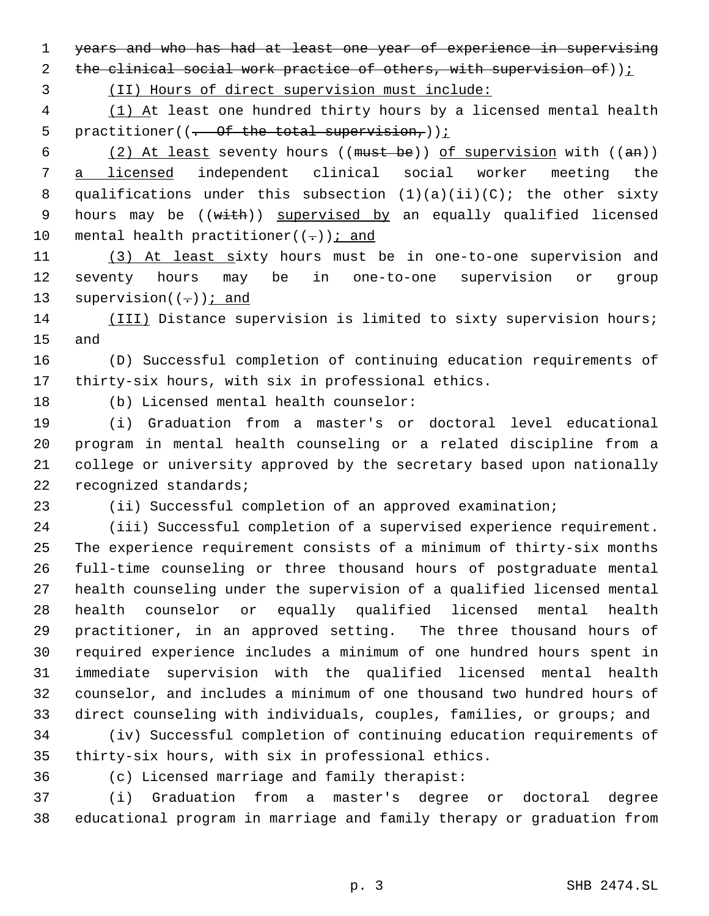years and who has had at least one year of experience in supervising

2 the clinical social work practice of others, with supervision of));

(II) Hours of direct supervision must include:

4 (1) At least one hundred thirty hours by a licensed mental health 5 practitioner( $(-$  Of the total supervision,));

6  $(2)$  At least seventy hours ((must be)) of supervision with ((an)) a licensed independent clinical social worker meeting the 8 qualifications under this subsection  $(1)(a)(ii)(C)$ ; the other sixty 9 hours may be ((with)) supervised by an equally qualified licensed 10 mental health practitioner( $(-)$ ); and

 (3) At least sixty hours must be in one-to-one supervision and seventy hours may be in one-to-one supervision or group 13 supervision( $(-)$ ); and

 (III) Distance supervision is limited to sixty supervision hours; and

 (D) Successful completion of continuing education requirements of thirty-six hours, with six in professional ethics.

(b) Licensed mental health counselor:

 (i) Graduation from a master's or doctoral level educational program in mental health counseling or a related discipline from a college or university approved by the secretary based upon nationally 22 recognized standards;

(ii) Successful completion of an approved examination;

 (iii) Successful completion of a supervised experience requirement. The experience requirement consists of a minimum of thirty-six months full-time counseling or three thousand hours of postgraduate mental health counseling under the supervision of a qualified licensed mental health counselor or equally qualified licensed mental health practitioner, in an approved setting. The three thousand hours of required experience includes a minimum of one hundred hours spent in immediate supervision with the qualified licensed mental health counselor, and includes a minimum of one thousand two hundred hours of direct counseling with individuals, couples, families, or groups; and

 (iv) Successful completion of continuing education requirements of thirty-six hours, with six in professional ethics.

(c) Licensed marriage and family therapist:

 (i) Graduation from a master's degree or doctoral degree educational program in marriage and family therapy or graduation from